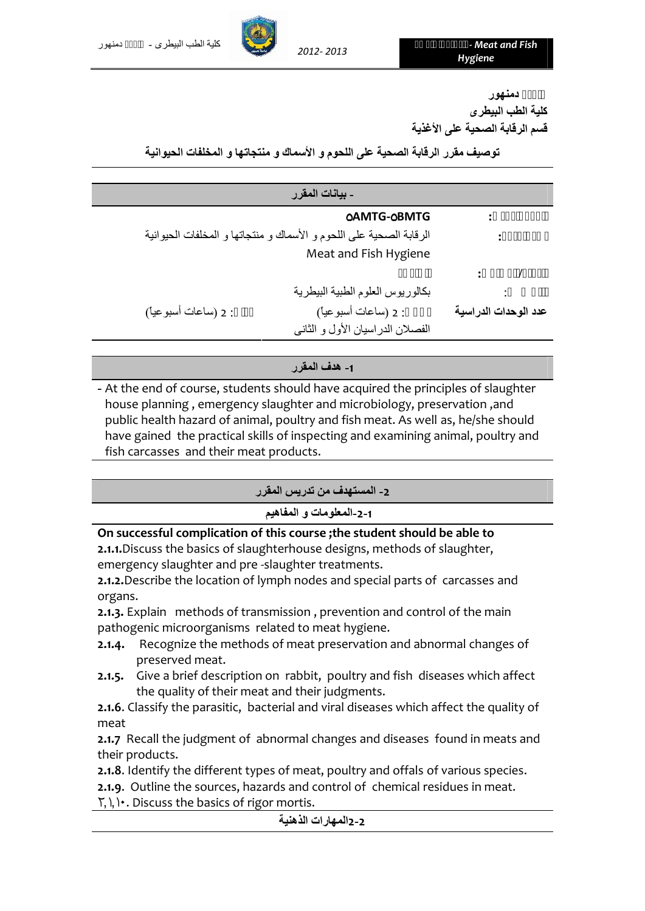

**كلیة الطب البیطرى جامعة دمنھور قسم الرقابة الصحیة على الأغذیة**

**توصیف مقرر الرقابة الصحیة على اللحوم و الأسماك و منتجاتھا و المخلفات الحیوانیة**

|                      | - بيانات المقرر                                                     |                      |
|----------------------|---------------------------------------------------------------------|----------------------|
|                      | <b>OAMTG-OBMTG</b>                                                  |                      |
|                      | الرقابة الصحية على اللحوم و الأسماك و منتجاتها و المخلفات الحيوانية |                      |
|                      | Meat and Fish Hygiene                                               |                      |
|                      |                                                                     |                      |
|                      | بكالوريوس العلوم الطبية البيطرية                                    |                      |
| : 2 (ساعات أسبو عيأ) | : 2 (ساعات أسبوعياً)                                                | عدد الوحدات الدراسية |
|                      | الفصلان الدراسيان الأول و الثاني                                    |                      |

**-1 ھدف المقرر**

**-** At the end of course, students should have acquired the principles of slaughter house planning , emergency slaughter and microbiology, preservation ,and public health hazard of animal, poultry and fish meat. As well as, he/she should have gained the practical skills of inspecting and examining animal, poultry and fish carcasses and their meat products.

**-2 المستھدف من تدریس المقرر**

**-2-1المعلومات و المفاھیم**

**On successful complication of this course ;the student should be able to**

**2.1.1.**Discuss the basics of slaughterhouse designs, methods of slaughter, emergency slaughter and pre -slaughter treatments.

**2.1.2.**Describe the location of lymph nodes and special parts of carcasses and organs.

**2.1.3.** Explain methods of transmission , prevention and control of the main pathogenic microorganisms related to meat hygiene.

- **2.1.4.** Recognize the methods of meat preservation and abnormal changes of preserved meat.
- **2.1.5.** Give a brief description on rabbit, poultry and fish diseases which affect the quality of their meat and their judgments.

**2.1.6**. Classify the parasitic, bacterial and viral diseases which affect the quality of meat

**2.1.7** Recall the judgment of abnormal changes and diseases found in meats and their products.

**2.1.8**. Identify the different types of meat, poultry and offals of various species.

**2.1.9**. Outline the sources, hazards and control of chemical residues in meat.

٢٫١٫١٠. Discuss the basics of rigor mortis.

**2-2المھارات الذھنیة**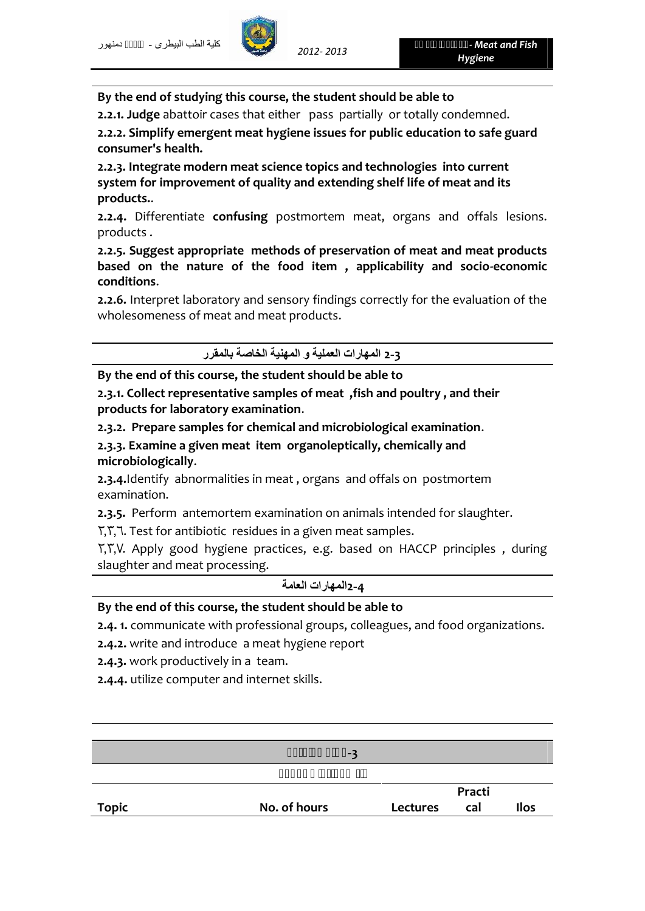### **By the end of studying this course, the student should be able to**

**2.2.1. Judge** abattoir cases that either pass partially or totally condemned.

**2.2.2. Simplify emergent meat hygiene issues for public education to safe guard consumer's health.**

**2.2.3. Integrate modern meat science topics and technologies into current system for improvement of quality and extending shelf life of meat and its products.**.

**2.2.4.** Differentiate **confusing** postmortem meat, organs and offals lesions. products .

**2.2.5. Suggest appropriate methods of preservation of meat and meat products based on the nature of the food item , applicability and socio-economic conditions**.

**2.2.6.** Interpret laboratory and sensory findings correctly for the evaluation of the wholesomeness of meat and meat products.

**2-3 المھارات العملیة و المھنیة الخاصة بالمقرر**

**By the end of this course, the student should be able to**

**2.3.1. Collect representative samples of meat ,fish and poultry , and their products for laboratory examination**.

**2.3.2. Prepare samples for chemical and microbiological examination**.

**2.3.3. Examine a given meat item organoleptically, chemically and microbiologically**.

**2.3.4.**Identify abnormalities in meat , organs and offals on postmortem examination.

**2.3.5.** Perform antemortem examination on animals intended for slaughter.

٢٫٣٫٦. Test for antibiotic residues in a given meat samples.

٢٫٣٫٧. Apply good hygiene practices, e.g. based on HACCP principles , during slaughter and meat processing.

**2-4المھارات العامة**

### **By the end of this course, the student should be able to**

**2.4. 1.** communicate with professional groups, colleagues, and food organizations.

**2.4.2.** write and introduce a meat hygiene report

**2.4.3.** work productively in a team.

**2.4.4.** utilize computer and internet skills.

|              | -3           |          |        |      |
|--------------|--------------|----------|--------|------|
|              |              |          |        |      |
|              |              |          | Practi |      |
| <b>Topic</b> | No. of hours | Lectures | cal    | Ilos |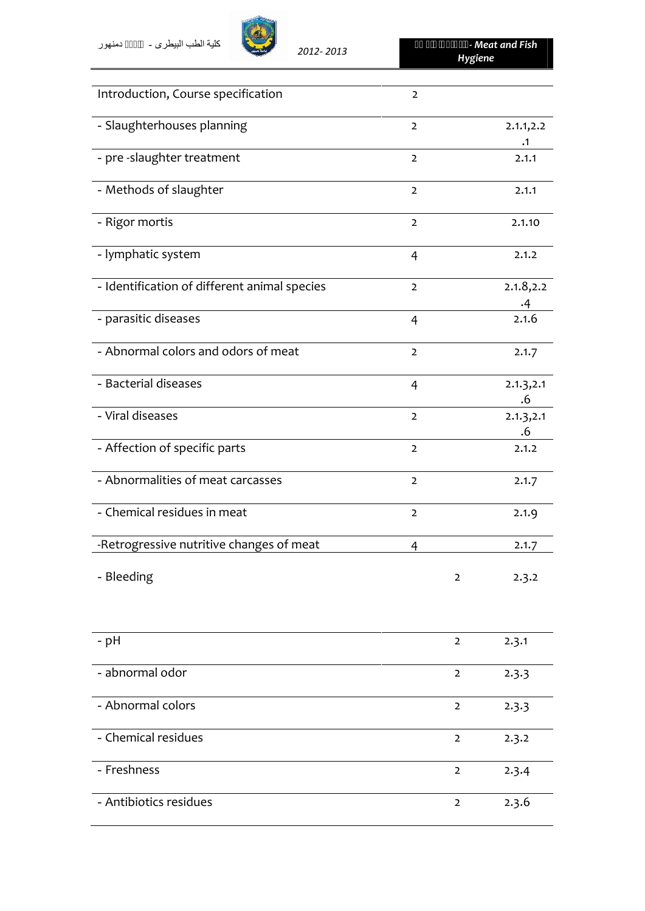# *<sup>2013</sup> 2012- كلیة الطب البیطرى - جامعة دمنھور*



| Introduction, Course specification           | $\overline{2}$ |                |                         |
|----------------------------------------------|----------------|----------------|-------------------------|
| - Slaughterhouses planning                   | $\overline{2}$ |                | 2.1.1, 2.2<br>$\cdot$ 1 |
| - pre -slaughter treatment                   | $\overline{2}$ |                | 2.1.1                   |
| - Methods of slaughter                       | $\overline{2}$ |                | 2.1.1                   |
| - Rigor mortis                               | $\overline{2}$ |                | 2.1.10                  |
| - lymphatic system                           | $\overline{4}$ |                | 2.1.2                   |
| - Identification of different animal species | $\overline{2}$ |                | 2.1.8, 2.2<br>$\cdot$ 4 |
| - parasitic diseases                         | $\overline{4}$ |                | 2.1.6                   |
| - Abnormal colors and odors of meat          | $\overline{2}$ |                | 2.1.7                   |
| - Bacterial diseases                         | $\overline{4}$ |                | 2.1.3, 2.1<br>.6        |
| - Viral diseases                             | $\overline{2}$ |                | 2.1.3, 2.1<br>.6        |
| - Affection of specific parts                | $\overline{2}$ |                | 2.1.2                   |
| - Abnormalities of meat carcasses            | $\overline{2}$ |                | 2.1.7                   |
| - Chemical residues in meat                  | $\mathbf 2$    |                | 2.1.9                   |
| -Retrogressive nutritive changes of meat     | 4              |                | 2.1.7                   |
| - Bleeding                                   |                | $\overline{2}$ | 2.3.2                   |
| - pH                                         |                | $\overline{2}$ | 2.3.1                   |
| - abnormal odor                              |                | $\overline{2}$ | 2.3.3                   |
| - Abnormal colors                            |                | $\mathbf 2$    | 2.3.3                   |
| - Chemical residues                          |                | $\mathbf 2$    | 2.3.2                   |
| - Freshness                                  |                | $\mathbf 2$    | 2.3.4                   |
| - Antibiotics residues                       |                | $\mathbf 2$    | 2.3.6                   |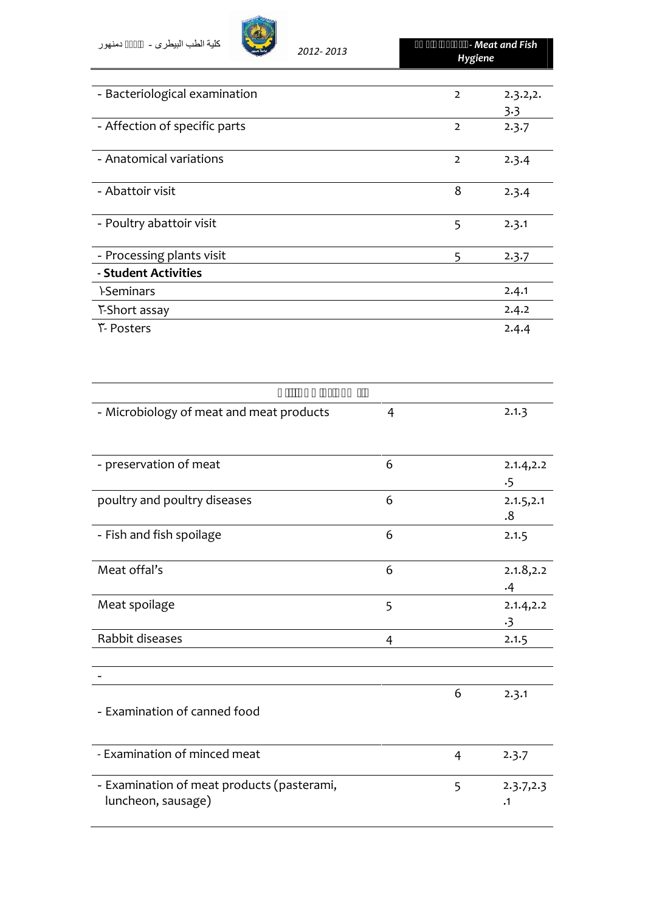| دمنهور | كلية الطب البيطر ي -          | 2012-2013 | Hygiene        | - Meat and Fish |
|--------|-------------------------------|-----------|----------------|-----------------|
|        |                               |           |                |                 |
|        | - Bacteriological examination |           | $\overline{2}$ | 2.3.2,2.        |
|        |                               |           |                | 3.3             |
|        | - Affection of specific parts |           | $\overline{2}$ | 2.3.7           |
|        | - Anatomical variations       |           | $\overline{2}$ | 2.3.4           |
|        | - Abattoir visit              |           | 8              | 2.3.4           |
|        | - Poultry abattoir visit      |           | 5              | 2.3.1           |

| - Poultry abattoir visit  | 2.3.1 |  |
|---------------------------|-------|--|
| - Processing plants visit | 2.3.7 |  |
| - Student Activities      |       |  |
| <b>I-Seminars</b>         | 2.4.1 |  |
| Y-Short assay             | 2.4.2 |  |
| <u>ሾ</u> - Posters        | 2.4.4 |  |

| - Microbiology of meat and meat products                         | 4 |                | 2.1.3                   |
|------------------------------------------------------------------|---|----------------|-------------------------|
| - preservation of meat                                           | 6 |                | 2.1.4, 2.2<br>$\cdot$ 5 |
| poultry and poultry diseases                                     | 6 |                | 2.1.5, 2.1<br>.8        |
| - Fish and fish spoilage                                         | 6 |                | 2.1.5                   |
| Meat offal's                                                     | 6 |                | 2.1.8, 2.2<br>.4        |
| Meat spoilage                                                    | 5 |                | 2.1.4, 2.2<br>$\cdot$ 3 |
| Rabbit diseases                                                  | 4 |                | 2.1.5                   |
|                                                                  |   |                |                         |
| - Examination of canned food                                     |   | 6              | 2.3.1                   |
| - Examination of minced meat                                     |   | $\overline{4}$ | 2.3.7                   |
| - Examination of meat products (pasterami,<br>luncheon, sausage) |   | 5              | 2.3.7, 2.3<br>$\cdot$ 1 |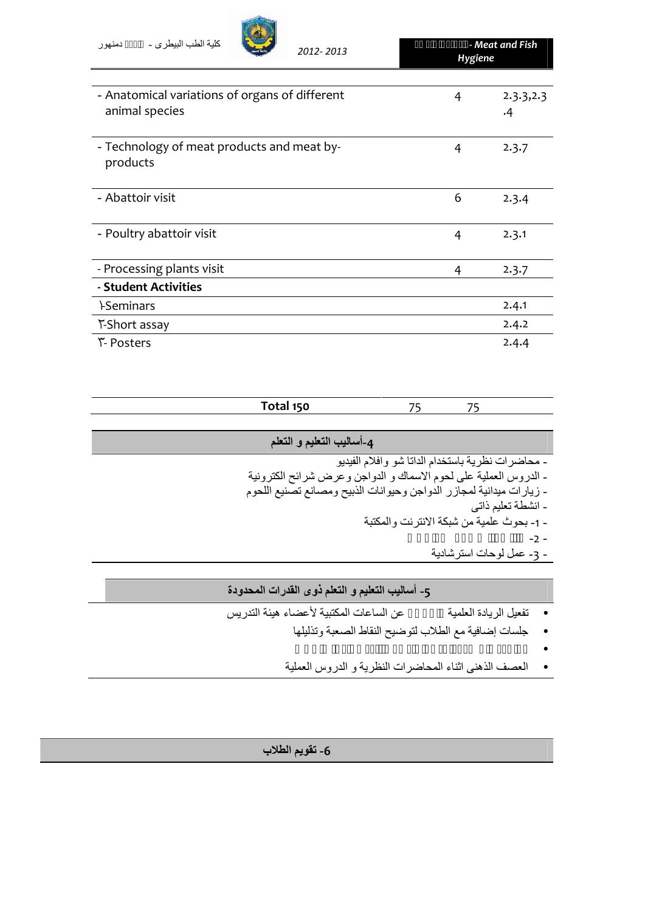| كلية الطب البيطر ي -<br>دمنهور<br>2012-2013                      | Hygiene | - Meat and Fish  |
|------------------------------------------------------------------|---------|------------------|
|                                                                  |         |                  |
| - Anatomical variations of organs of different<br>animal species | 4       | 2.3.3, 2.3<br>.4 |
| - Technology of meat products and meat by-<br>products           | 4       | 2.3.7            |
| - Abattoir visit                                                 | 6       | 2.3.4            |
| - Poultry abattoir visit                                         | 4       | 2.3.1            |
| - Processing plants visit                                        | 4       | 2.3.7            |
| - Student Activities                                             |         |                  |
| <b>LSeminars</b>                                                 |         | 7.4.1            |

١-Seminars 2.4.1 T-Short assay 2.4.2 ٣- Posters 2.4.4

| Total 150                 | 75<br>75                                                            |
|---------------------------|---------------------------------------------------------------------|
|                           |                                                                     |
| 4-أساليب التعليم و التعلم |                                                                     |
|                           | - محاضرات نظرية باستخدام الداتا شو وافلام الفيديو                   |
|                           | - الدروس العملية على لحوم الاسماك و الدواجن وعرض شرائح الكترونية    |
|                           | - زيارات ميدانية لمجازر الدواجن وحيوانات الذبيح ومصانع تصنيع اللحوم |
|                           | ۔ انشطة تعليم ذاتبي                                                 |
|                           | - 1- بحوث علمية من شبكة الانترنت والمكتبة                           |
|                           | $-2 -$                                                              |
|                           | - 3- عمل لوحات استر شادية                                           |

## **-5 أسالیب التعلیم و التعلم ذوى القدرات المحدودة**

- تفعیل الریادة العلمیة لإعلان عن الساعات المكتبیة لأعضاء ھیئة التدریس
	- مراجعة ملخصة لما تم دراستة مع متابعة مستمرة للطلاب جلسات إضافیة مع الطلاب لتوضیح النقاط الصعبة وتذلیلھا
		-
	- العصف الذھنى اثناء المحاضرات النظریة و الدروس العملیة

**-6 تقویم الطلاب**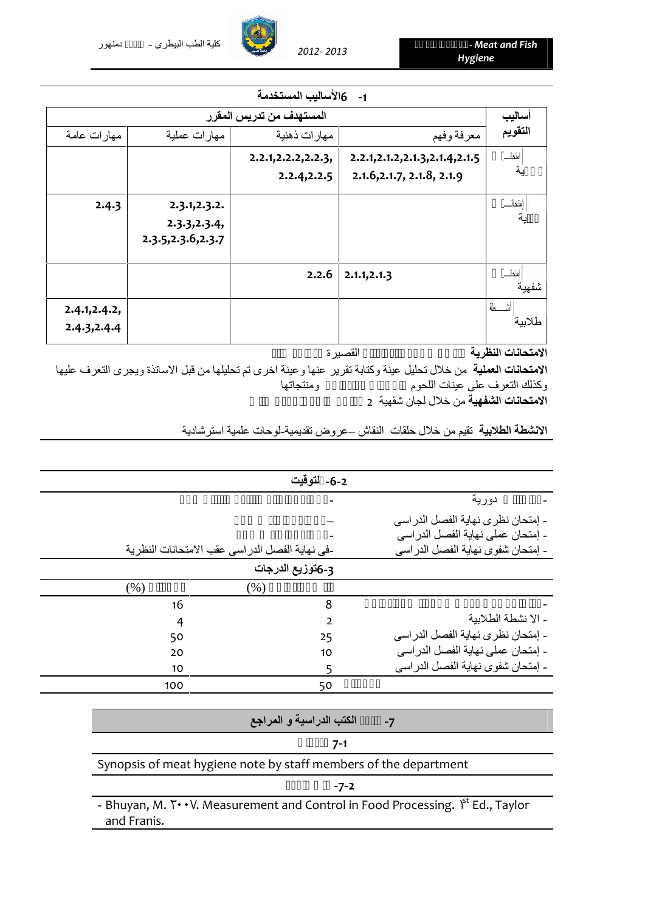#### **-1 6الأسالیب المستخدمة**

| أساليب  |                                   | المستهدف من تدريس المقرر |                     |               |
|---------|-----------------------------------|--------------------------|---------------------|---------------|
| التقويم | معرفة وفهم                        | مهارات ذهنية             | مهارات عملية        | مهارات عامة   |
| لعندات  | 2.2.1, 2.1.2, 2.1.3, 2.1.4, 2.1.5 | 2.2.1, 2.2. 2, 2.2. 3,   |                     |               |
| ية      | 2.1.6, 2.1.7, 2.1.8, 2.1.9        | 2.2.4, 2.2.5             |                     |               |
| امئحات  |                                   |                          | 2.3.1, 2.3.2.       | 2.4.3         |
| ية      |                                   |                          | 2.3.3, 2.3.4,       |               |
|         |                                   |                          | 2.3.5, 2.3.6, 2.3.7 |               |
| شفهية   | 2.1.1, 2.1.3                      | 2.2.6                    |                     |               |
|         |                                   |                          |                     | 2.4.1, 2.4.2, |
| طلاببة  |                                   |                          |                     | 2.4.3, 2.4.4  |
|         |                                   |                          |                     |               |

#### ا**لامتحانات النظرية** تتم تتم من خلال القصيرة الت

**الامتحانات العملیة** من خلال تحلیل عینة وكتابة تقریر عنھا وعینة اخرى تم تحلیلھا من قبل الاساتذة ویجرى التعرف علیھا وكذلك التعرف على عينات اللحوم والدواجن و الدواجن و الدواجن و الدواجن و الدواجن و

**الامتحانات الشفھیة** من خلال لجان شقھیة 2 ممتحن على الاقل لكل طالب

**الانشطة الطلابیة** تقیم من خلال حلقات النقاش –عروض تقدیمیة-لوحات علمیة استرشادیة

|                                                                  |                          | دورية                               |
|------------------------------------------------------------------|--------------------------|-------------------------------------|
|                                                                  |                          | - إمتحان نظر ي نهاية الفصل الدر اسي |
|                                                                  |                          | - إمتحان عملي نهاية الفصل الدر اسي  |
| -في نهاية الفصل الدر اسي عقب الامتحانات النظرية                  |                          | - إمتحان شفوى نهاية الفصل الدراسي   |
|                                                                  | 3-6توزيع الدرجات         |                                     |
| (% )<br>(% )                                                     |                          |                                     |
| 16                                                               | 8                        |                                     |
| 4                                                                | $\overline{2}$           | - الا نشطة الطلابية                 |
| 50                                                               | 25                       | - إمتحان نظرى نهاية الفصل الدراسي   |
| 20                                                               | 10                       | - إمتحان عملي نهاية الفصل الدر اسي  |
| 10                                                               | 5                        | - إمتحان شفوى نهاية الفصل الدر اسى  |
| 100                                                              | 50                       |                                     |
|                                                                  | الكتب الدراسية و المراجع | $-7$                                |
|                                                                  |                          |                                     |
|                                                                  | $7 - 1$                  |                                     |
| Synopsis of meat hygiene note by staff members of the department |                          |                                     |
|                                                                  | $-7-2$                   |                                     |